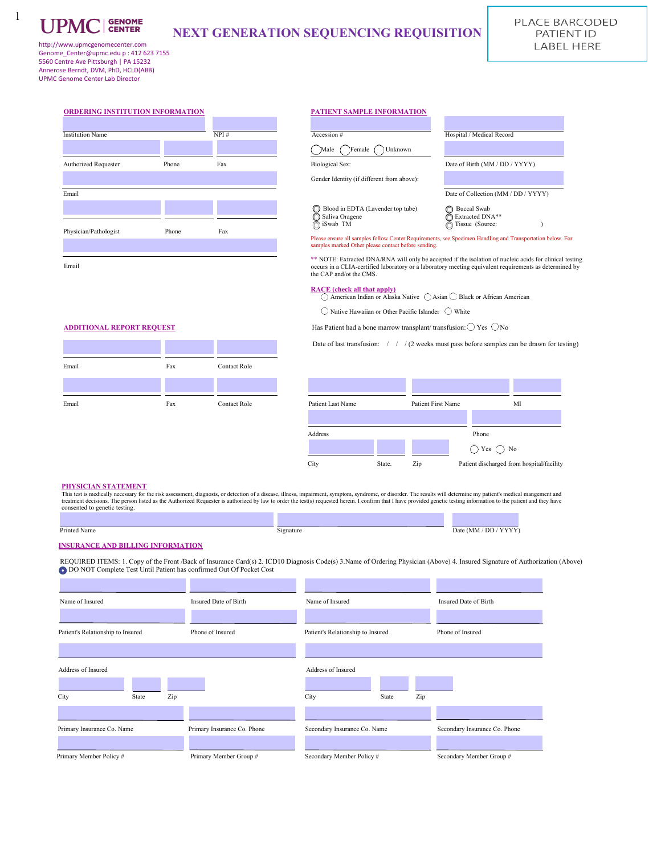

1

# **NEXT GENERATION SEQUENCING REQUISITION**

http://www.upmcgenomecenter.com Genome\_Center@upmc.edu p : 412 623 7155 5560 Centre Ave Pittsburgh | PA 15232 Annerose Berndt, DVM, PhD, HCLD(ABB) UPMC Genome Center Lab Director

| ORDERING INSTITUTION INFORMATION |       |      | PATIENT SAMPLE INFORMATION                                                                                                                                   |                                                          |
|----------------------------------|-------|------|--------------------------------------------------------------------------------------------------------------------------------------------------------------|----------------------------------------------------------|
| <b>Institution Name</b>          |       | NPI# | Accession #                                                                                                                                                  | Hospital / Medical Record                                |
|                                  |       |      | Female<br>Unknown<br>Male                                                                                                                                    |                                                          |
| <b>Authorized Requester</b>      | Phone | Fax  | <b>Biological Sex:</b>                                                                                                                                       | Date of Birth (MM / DD /                                 |
|                                  |       |      | Gender Identity (if different from above):                                                                                                                   |                                                          |
| Email                            |       |      |                                                                                                                                                              | Date of Collection (MM /                                 |
|                                  |       |      | Blood in EDTA (Lavender top tube)<br>Saliva Oragene<br>∩ iSwab TM                                                                                            | <b>Buccal Swab</b><br>Extracted DNA**<br>Tissue (Source: |
| Physician/Pathologist            | Phone | Fax  | Please ensure all samples follow Center Requirements, see Specimen Handling and T<br>samples marked Other please contact before sending.                     |                                                          |
| Email                            |       |      | ** NOTE: Extracted DNA/RNA will only be accepted if the isolation of nucle<br>occurs in a CLIA-certified laboratory or a laboratory meeting equivalent requi |                                                          |

### **ORDERING INSTITUTION INFORMATION PATIENT SAMPLE INFORMATION**

| <b>Institution Name</b> |       | NPI# | Accession #                                                       | Hospital / Medical Record                                |
|-------------------------|-------|------|-------------------------------------------------------------------|----------------------------------------------------------|
|                         |       |      | Female<br>Male<br>Unknown                                         |                                                          |
| Authorized Requester    | Phone | Fax  | <b>Biological Sex:</b>                                            | Date of Birth (MM / DD / YYYY)                           |
|                         |       |      | Gender Identity (if different from above):                        |                                                          |
| Email                   |       |      |                                                                   | Date of Collection (MM / DD / YYYY)                      |
|                         |       |      | Blood in EDTA (Lavender top tube)<br>Saliva Oragene<br>n iSwab TM | <b>Buccal Swab</b><br>Extracted DNA**<br>Tissue (Source: |
| Physician/Pathologist   | Phone | Fax  |                                                                   |                                                          |

Please ensure all samples follow Center Requirements, see Specimen Handling and Transportation below. For samples marked Other please contact before sending.

\*\* NOTE: Extracted DNA/RNA will only be accepted if the isolation of nucleic acids for clinical testing occurs in a CLIA-certified laboratory or a laboratory meeting equivalent requirements as determined by the CAP and/ot the CMS.

**RACE** (check all that apply)<br>  $\bigcirc$  American Indian or Alaska Native  $\bigcirc$  Asian  $\bigcirc$  Black or African American

 $\bigcirc$  Native Hawaiian or Other Pacific Islander  $\bigcirc$  White

**ADDITIONAL REPORT REQUEST** Has Patient had a bone marrow transplant/ transfusion:  $\bigcirc$  Yes  $\bigcirc$  No

Date of last transfusion: / / / (2 weeks must pass before samples can be drawn for testing)

| Email | Fax | <b>Contact Role</b> |
|-------|-----|---------------------|
|       |     |                     |
| Email | Fax | <b>Contact Role</b> |

| Email | Fax | <b>Contact Role</b> | Patient Last Name |        | Patient First Name | МI                                        |
|-------|-----|---------------------|-------------------|--------|--------------------|-------------------------------------------|
|       |     |                     |                   |        |                    |                                           |
|       |     |                     | Address           |        |                    | Phone                                     |
|       |     |                     |                   |        |                    | ) No<br>$\bigcap$ Yes $\bigcap$           |
|       |     |                     | City              | State. | Zip                | Patient discharged from hospital/facility |

### **PHYSICIAN STATEMENT**

This test is medically necessary for the risk assessment, diagnosis, or detection of a disease, illness, impairment, symptom, syndrome, or disorder. The results will determine my patient's medical mangement and<br>treatment d consented to genetic testing. a m **Contract Contract** 

| Printeg | Nam. | $\sim$<br>$\gamma$ 1911a. | DD.<br>$\cdot$<br><br>. Jate<br><b>IVHVI</b><br>the contract of the contract of the contract of the contract of the contract of the contract of the contract of |  |
|---------|------|---------------------------|-----------------------------------------------------------------------------------------------------------------------------------------------------------------|--|

### **INSURANCE AND BILLING INFORMATION**

 REQUIRED ITEMS: 1. Copy of the Front /Back of Insurance Card(s) 2. ICD10 Diagnosis Code(s) 3.Name of Ordering Physician (Above) 4. Insured Signature of Authorization (Above) DO NOT Complete Test Until Patient has confirmed Out Of Pocket Cost

| Name of Insured                   | Insured Date of Birth       | Name of Insured                   | Insured Date of Birth         |
|-----------------------------------|-----------------------------|-----------------------------------|-------------------------------|
| Patient's Relationship to Insured | Phone of Insured            | Patient's Relationship to Insured | Phone of Insured              |
|                                   |                             |                                   |                               |
| Address of Insured                |                             | Address of Insured                |                               |
| Zip<br>City<br>State              |                             | City<br>Zip<br>State              |                               |
| Primary Insurance Co. Name        | Primary Insurance Co. Phone | Secondary Insurance Co. Name      | Secondary Insurance Co. Phone |
| Primary Member Policy#            | Primary Member Group #      | Secondary Member Policy#          | Secondary Member Group #      |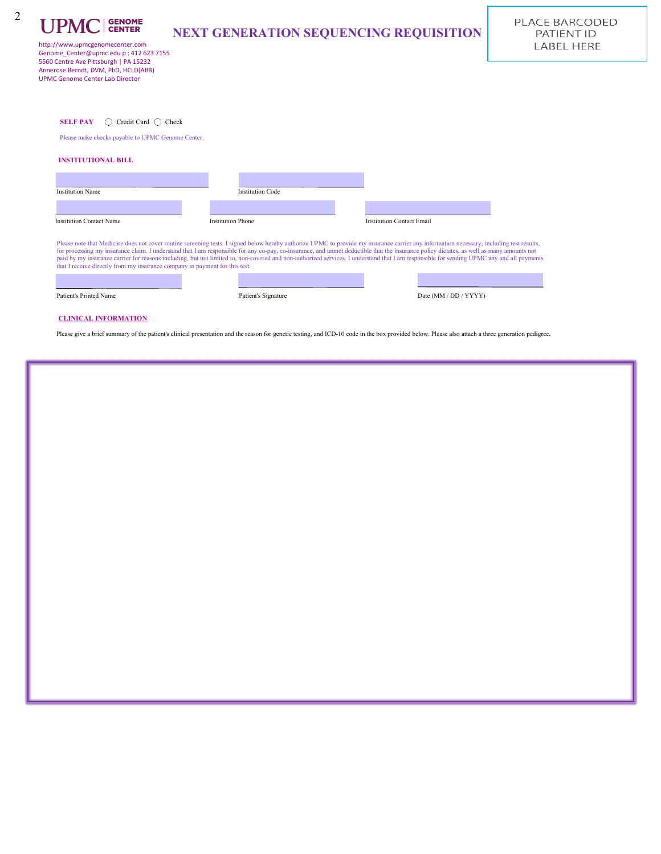| <b>UPMC</b> GENOME                                                              | <b>NEXT GENERATION SEQUENCING REQUISITION</b> |
|---------------------------------------------------------------------------------|-----------------------------------------------|
| http://www.upmcgenomecenter.com                                                 |                                               |
| Genome Center@upmc.edu p: 412 623 7155<br>5560 Centre Ave Pittsburgh   PA 15232 |                                               |
| Annerose Berndt, DVM, PhD, HCLD(ABB)                                            |                                               |
| <b>UPMC Genome Center Lab Director</b>                                          |                                               |
|                                                                                 |                                               |
| Credit Card $\bigcap$ Check<br><b>SELF PAY</b><br>$\left( \quad \right)$        |                                               |
| Please make checks payable to UPMC Genome Center.                               |                                               |
| <b>INSTITUTIONAL BILL</b>                                                       |                                               |

| <b>Institution Code</b>  |                                  |
|--------------------------|----------------------------------|
| <b>Institution Phone</b> | <b>Institution Contact Email</b> |
|                          |                                  |

Patient's Printed Name Patient's Signature Date (MM / DD / YYYY)

### **CLINICAL INFORMATION**

Please give a brief summary of the patient's clinical presentation and the reason for genetic testing, and ICD-10 code in the box provided below. Please also attach a three generation pedigree.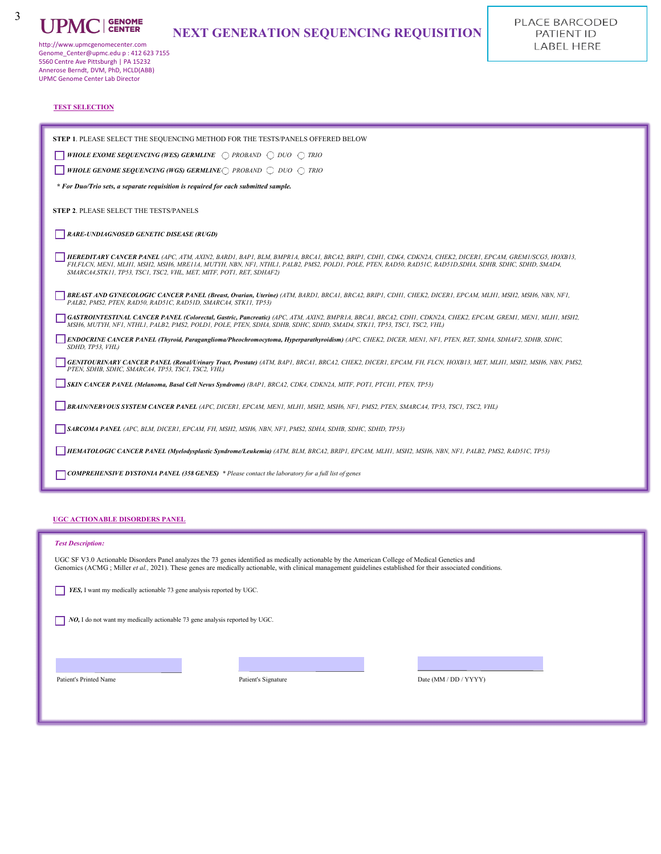

3

# **NEXT GENERATION SEQUENCING REQUISITION**

http://www.upmcgenomecenter.com Genome\_Center@upmc.edu p : 412 623 7155 5560 Centre Ave Pittsburgh | PA 15232 Annerose Berndt, DVM, PhD, HCLD(ABB) UPMC Genome Center Lab Director

### **TEST SELECTION**

| STEP 1. PLEASE SELECT THE SEQUENCING METHOD FOR THE TESTS/PANELS OFFERED BELOW                                                                                                                                                                                                                                                                                                          |
|-----------------------------------------------------------------------------------------------------------------------------------------------------------------------------------------------------------------------------------------------------------------------------------------------------------------------------------------------------------------------------------------|
| <b>WHOLE EXOME SEQUENCING (WES) GERMLINE</b> $\bigcap$ PROBAND $\bigcap$ DUO $\bigcap$ TRIO                                                                                                                                                                                                                                                                                             |
| WHOLE GENOME SEQUENCING (WGS) GERMLINE $\bigcap$ PROBAND $\bigcap$ DUO $\bigcap$ TRIO                                                                                                                                                                                                                                                                                                   |
| * For Duo/Trio sets, a separate requisition is required for each submitted sample.                                                                                                                                                                                                                                                                                                      |
| <b>STEP 2. PLEASE SELECT THE TESTS/PANELS</b>                                                                                                                                                                                                                                                                                                                                           |
| <b>RARE-UNDIAGNOSED GENETIC DISEASE (RUGD)</b>                                                                                                                                                                                                                                                                                                                                          |
| HEREDITARY CANCER PANEL (APC, ATM, AXIN2, BARD1, BAP1, BLM, BMPR1A, BRCA1, BRCA1, BRIP1, CDH1, CDK4, CDKN2A, CHEK2, DICER1, EPCAM, GREM1/SCG5, HOXB13,<br>FH.FLCN. MEN1. MLH1. MSH2. MSH6. MRE11A. MUTYH. NBN. NF1. NTHL1. PALB2. PMS2. POLD1. POLE. PTEN. RAD50. RAD51C. RAD51D.SDHA. SDHB. SDHC. SDHD. SMAD4.<br>SMARCA4, STK11, TP53, TSC1, TSC2, VHL, MET, MITF, POT1, RET, SDHAF2) |
| BREAST AND GYNECOLOGIC CANCER PANEL (Breast, Ovarian, Uterine) (ATM, BARDI, BRCAI, BRCA1, BRCA2, BRIPI, CDHI, CHEK2, DICERI, EPCAM, MLHI, MSH2, MSH6, NBN, NF1,<br>PALB2, PMS2, PTEN, RAD50, RAD51C, RAD51D, SMARCA4, STK11, TP53)                                                                                                                                                      |
| GASTROINTESTINAL CANCER PANEL (Colorectal, Gastric, Pancreatic) (APC, ATM, AXIN2, BMPR1A, BRCA1, BRCA2, CDH1, CDKN2A, CHEK2, EPCAM, GREM1, MEN1, MLH1, MSH2,<br>MSH6, MUTYH, NF1, NTHL1, PALB2, PMS2, POLD1, POLE, PTEN, SDHA, SDHB, SDHC, SDHD, SMAD4, STK11, TP53, TSC1, TSC2, VHL)                                                                                                   |
| ENDOCRINE CANCER PANEL (Thyroid, Paraganglioma/Pheochromocytoma, Hyperparathyroidism) (APC, CHEK2, DICER, MENI, NF1, PTEN, RET, SDHA, SDHAF2, SDHB, SDHC,<br>SDHD, TP53, VHL)                                                                                                                                                                                                           |
| GENITOURINARY CANCER PANEL (Renal/Urinary Tract, Prostate) (ATM, BAP1, BRCA1, BRCA2, CHEK2, DICER1, EPCAM, FH, FLCN, HOXB13, MET, MLH1, MSH2, MSH6, NBN, PMS2,<br>PTEN, SDHB, SDHC, SMARCA4, TP53, TSC1, TSC2, VHL)                                                                                                                                                                     |
| SKIN CANCER PANEL (Melanoma, Basal Cell Nevus Syndrome) (BAP1, BRCA2, CDK4, CDKN2A, MITF, POT1, PTCH1, PTEN, TP53)                                                                                                                                                                                                                                                                      |
| BRAIN/NERVOUS SYSTEM CANCER PANEL (APC, DICER1, EPCAM, MEN1, MLH1, MSH2, MSH6, NF1, PMS2, PTEN, SMARCA4, TP53, TSC1, TSC2, VHL)                                                                                                                                                                                                                                                         |
| SARCOMA PANEL (APC, BLM, DICER1, EPCAM, FH, MSH2, MSH6, NBN, NF1, PMS2, SDHA, SDHB, SDHC, SDHD, TP53)                                                                                                                                                                                                                                                                                   |
| HEMATOLOGIC CANCER PANEL (Myelodysplastic Syndrome/Leukemia) (ATM, BLM, BRCA2, BRIP1, EPCAM, MLH1, MSH2, MSH6, NBN, NF1, PALB2, PMS2, RAD51C, TP53)                                                                                                                                                                                                                                     |
| <b>COMPREHENSIVE DYSTONIA PANEL (358 GENES)</b> * Please contact the laboratory for a full list of genes                                                                                                                                                                                                                                                                                |

### **UGC ACTIONABLE DISORDERS PANEL**

#### *Test Description:*

UGC SF V3.0 Actionable Disorders Panel analyzes the 73 genes identified as medically actionable by the American College of Medical Genetics and<br>Genomics (ACMG ; Miller et al., 2021). These genes are medically actionable, w

*YES, I want my medically actionable 73 gene analysis reported by UGC.* 

*NO*, I do not want my medically actionable 73 gene analysis reported by UGC.

Patient's Printed Name Patient's Signature Patient's Signature Date (MM / DD / YYYY)